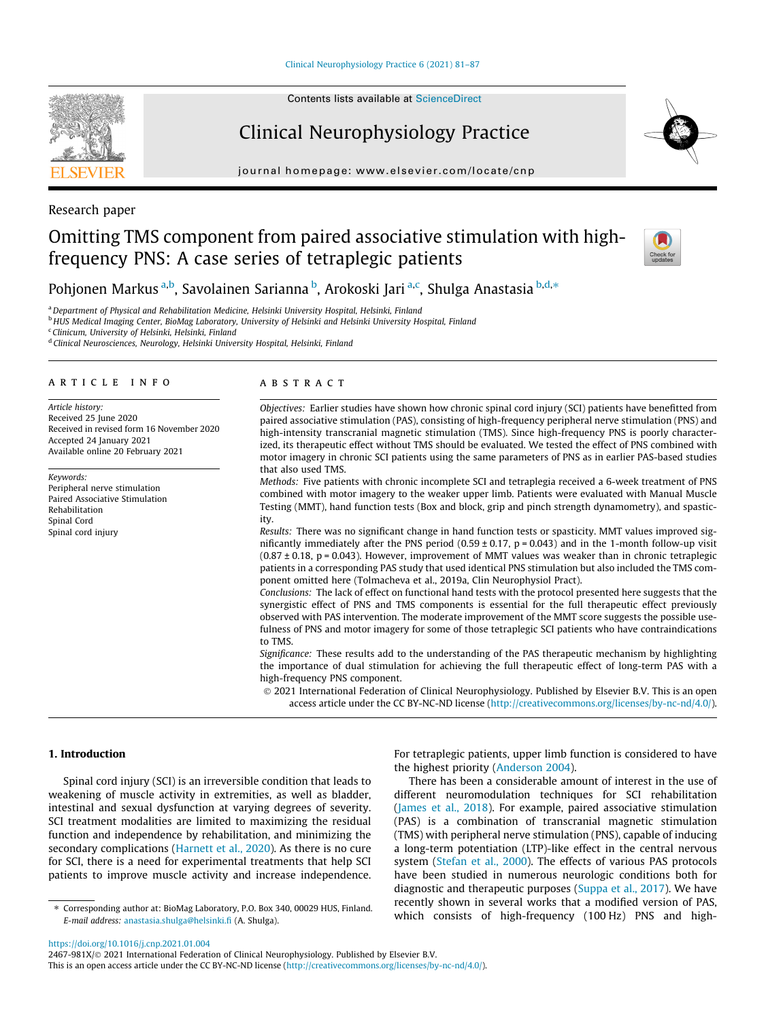[Clinical Neurophysiology Practice 6 \(2021\) 81–87](https://doi.org/10.1016/j.cnp.2021.01.004)



# Clinical Neurophysiology Practice

journal homepage: [www.elsevier.com/locate/cnp](http://www.elsevier.com/locate/cnp)



# Omitting TMS component from paired associative stimulation with highfrequency PNS: A case series of tetraplegic patients



Pohjonen Markus <sup>a,b</sup>, Savolainen Sarianna <sup>b</sup>, Arokoski Jari <sup>a,c</sup>, Shulga Anastasia <sup>b,d,</sup>\*

a Department of Physical and Rehabilitation Medicine, Helsinki University Hospital, Helsinki, Finland

**b HUS Medical Imaging Center, BioMag Laboratory, University of Helsinki and Helsinki University Hospital, Finland** 

<sup>c</sup> Clinicum, University of Helsinki, Helsinki, Finland

d Clinical Neurosciences, Neurology, Helsinki University Hospital, Helsinki, Finland

# article info

Article history: Received 25 June 2020 Received in revised form 16 November 2020 Accepted 24 January 2021 Available online 20 February 2021

Keywords: Peripheral nerve stimulation Paired Associative Stimulation Rehabilitation Spinal Cord Spinal cord injury

# **ABSTRACT**

Objectives: Earlier studies have shown how chronic spinal cord injury (SCI) patients have benefitted from paired associative stimulation (PAS), consisting of high-frequency peripheral nerve stimulation (PNS) and high-intensity transcranial magnetic stimulation (TMS). Since high-frequency PNS is poorly characterized, its therapeutic effect without TMS should be evaluated. We tested the effect of PNS combined with motor imagery in chronic SCI patients using the same parameters of PNS as in earlier PAS-based studies that also used TMS.

Methods: Five patients with chronic incomplete SCI and tetraplegia received a 6-week treatment of PNS combined with motor imagery to the weaker upper limb. Patients were evaluated with Manual Muscle Testing (MMT), hand function tests (Box and block, grip and pinch strength dynamometry), and spasticity.

Results: There was no significant change in hand function tests or spasticity. MMT values improved significantly immediately after the PNS period  $(0.59 \pm 0.17, p = 0.043)$  and in the 1-month follow-up visit  $(0.87 \pm 0.18, p = 0.043)$ . However, improvement of MMT values was weaker than in chronic tetraplegic patients in a corresponding PAS study that used identical PNS stimulation but also included the TMS component omitted here (Tolmacheva et al., 2019a, Clin Neurophysiol Pract).

Conclusions: The lack of effect on functional hand tests with the protocol presented here suggests that the synergistic effect of PNS and TMS components is essential for the full therapeutic effect previously observed with PAS intervention. The moderate improvement of the MMT score suggests the possible usefulness of PNS and motor imagery for some of those tetraplegic SCI patients who have contraindications to TMS.

Significance: These results add to the understanding of the PAS therapeutic mechanism by highlighting the importance of dual stimulation for achieving the full therapeutic effect of long-term PAS with a high-frequency PNS component.

 2021 International Federation of Clinical Neurophysiology. Published by Elsevier B.V. This is an open access article under the CC BY-NC-ND license (<http://creativecommons.org/licenses/by-nc-nd/4.0/>).

### 1. Introduction

Spinal cord injury (SCI) is an irreversible condition that leads to weakening of muscle activity in extremities, as well as bladder, intestinal and sexual dysfunction at varying degrees of severity. SCI treatment modalities are limited to maximizing the residual function and independence by rehabilitation, and minimizing the secondary complications ([Harnett et al., 2020](#page-5-0)). As there is no cure for SCI, there is a need for experimental treatments that help SCI patients to improve muscle activity and increase independence.

⇑ Corresponding author at: BioMag Laboratory, P.O. Box 340, 00029 HUS, Finland. E-mail address: [anastasia.shulga@helsinki.fi](mailto:anastasia.shulga@helsinki.fi) (A. Shulga).

For tetraplegic patients, upper limb function is considered to have the highest priority [\(Anderson 2004\)](#page-5-0).

There has been a considerable amount of interest in the use of different neuromodulation techniques for SCI rehabilitation ([James et al., 2018\)](#page-5-0). For example, paired associative stimulation (PAS) is a combination of transcranial magnetic stimulation (TMS) with peripheral nerve stimulation (PNS), capable of inducing a long-term potentiation (LTP)-like effect in the central nervous system ([Stefan et al., 2000\)](#page-6-0). The effects of various PAS protocols have been studied in numerous neurologic conditions both for diagnostic and therapeutic purposes ([Suppa et al., 2017](#page-6-0)). We have recently shown in several works that a modified version of PAS, which consists of high-frequency (100 Hz) PNS and high-

<https://doi.org/10.1016/j.cnp.2021.01.004>

2467-981X/@ 2021 International Federation of Clinical Neurophysiology. Published by Elsevier B.V. This is an open access article under the CC BY-NC-ND license ([http://creativecommons.org/licenses/by-nc-nd/4.0/\)](http://creativecommons.org/licenses/by-nc-nd/4.0/).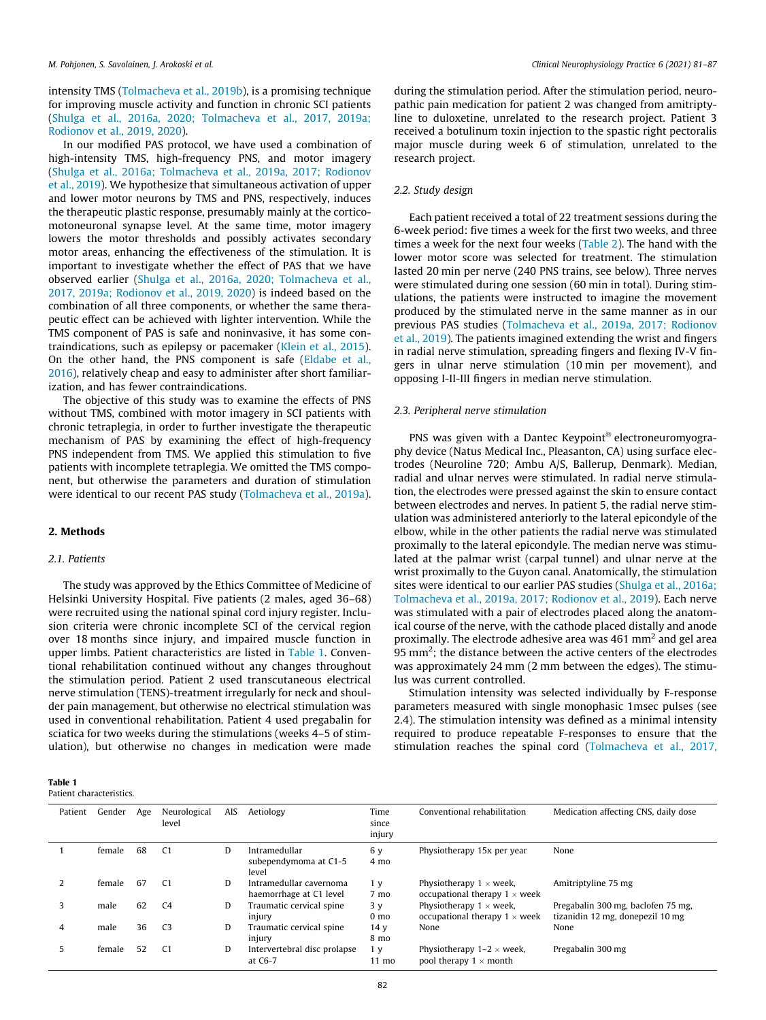intensity TMS [\(Tolmacheva et al., 2019b\)](#page-6-0), is a promising technique for improving muscle activity and function in chronic SCI patients ([Shulga et al., 2016a, 2020; Tolmacheva et al., 2017, 2019a;](#page-6-0) [Rodionov et al., 2019, 2020](#page-6-0)).

In our modified PAS protocol, we have used a combination of high-intensity TMS, high-frequency PNS, and motor imagery ([Shulga et al., 2016a; Tolmacheva et al., 2019a, 2017; Rodionov](#page-6-0) [et al., 2019](#page-6-0)). We hypothesize that simultaneous activation of upper and lower motor neurons by TMS and PNS, respectively, induces the therapeutic plastic response, presumably mainly at the corticomotoneuronal synapse level. At the same time, motor imagery lowers the motor thresholds and possibly activates secondary motor areas, enhancing the effectiveness of the stimulation. It is important to investigate whether the effect of PAS that we have observed earlier [\(Shulga et al., 2016a, 2020; Tolmacheva et al.,](#page-6-0) [2017, 2019a; Rodionov et al., 2019, 2020](#page-6-0)) is indeed based on the combination of all three components, or whether the same therapeutic effect can be achieved with lighter intervention. While the TMS component of PAS is safe and noninvasive, it has some contraindications, such as epilepsy or pacemaker [\(Klein et al., 2015\)](#page-6-0). On the other hand, the PNS component is safe ([Eldabe et al.,](#page-5-0) [2016\)](#page-5-0), relatively cheap and easy to administer after short familiarization, and has fewer contraindications.

The objective of this study was to examine the effects of PNS without TMS, combined with motor imagery in SCI patients with chronic tetraplegia, in order to further investigate the therapeutic mechanism of PAS by examining the effect of high-frequency PNS independent from TMS. We applied this stimulation to five patients with incomplete tetraplegia. We omitted the TMS component, but otherwise the parameters and duration of stimulation were identical to our recent PAS study ([Tolmacheva et al., 2019a\)](#page-6-0).

### 2. Methods

### 2.1. Patients

The study was approved by the Ethics Committee of Medicine of Helsinki University Hospital. Five patients (2 males, aged 36–68) were recruited using the national spinal cord injury register. Inclusion criteria were chronic incomplete SCI of the cervical region over 18 months since injury, and impaired muscle function in upper limbs. Patient characteristics are listed in Table 1. Conventional rehabilitation continued without any changes throughout the stimulation period. Patient 2 used transcutaneous electrical nerve stimulation (TENS)-treatment irregularly for neck and shoulder pain management, but otherwise no electrical stimulation was used in conventional rehabilitation. Patient 4 used pregabalin for sciatica for two weeks during the stimulations (weeks 4–5 of stimulation), but otherwise no changes in medication were made

3 male 62 C4 D Traumatic cervical spine

4 male 36 C3 D Traumatic cervical spine

5 female 52 C1 D Intervertebral disc prolapse

injury

injury

at C6-7

#### Table 1 Patient chara

| ble 1<br>ient characteristics. |        |     |                       |     |                                                    |                         |                                                                        |                                      |  |
|--------------------------------|--------|-----|-----------------------|-----|----------------------------------------------------|-------------------------|------------------------------------------------------------------------|--------------------------------------|--|
| Patient                        | Gender | Age | Neurological<br>level | AIS | Aetiology                                          | Time<br>since<br>injury | Conventional rehabilitation                                            | Medication affecting CNS, daily dose |  |
|                                | female | 68  | C1                    | D   | Intramedullar<br>subependymoma at C1-5<br>level    | 6 y<br>4 mo             | Physiotherapy 15x per year                                             | None                                 |  |
|                                | female | 67  | C1                    | D   | Intramedullar cavernoma<br>haemorrhage at C1 level | 1 v<br>7 mo             | Physiotherapy $1 \times$ week,<br>occupational therapy $1 \times$ week | Amitriptyline 75 mg                  |  |

Physiotherapy  $1 \times$  week, occupational therapy  $1 \times$  week

Physiotherapy  $1-2 \times$  week, pool therapy  $1 \times \text{month}$ 

None None

during the stimulation period. After the stimulation period, neuropathic pain medication for patient 2 was changed from amitriptyline to duloxetine, unrelated to the research project. Patient 3 received a botulinum toxin injection to the spastic right pectoralis major muscle during week 6 of stimulation, unrelated to the research project.

#### 2.2. Study design

Each patient received a total of 22 treatment sessions during the 6-week period: five times a week for the first two weeks, and three times a week for the next four weeks [\(Table 2\)](#page-2-0). The hand with the lower motor score was selected for treatment. The stimulation lasted 20 min per nerve (240 PNS trains, see below). Three nerves were stimulated during one session (60 min in total). During stimulations, the patients were instructed to imagine the movement produced by the stimulated nerve in the same manner as in our previous PAS studies [\(Tolmacheva et al., 2019a, 2017; Rodionov](#page-6-0) [et al., 2019\)](#page-6-0). The patients imagined extending the wrist and fingers in radial nerve stimulation, spreading fingers and flexing IV-V fingers in ulnar nerve stimulation (10 min per movement), and opposing I-II-III fingers in median nerve stimulation.

#### 2.3. Peripheral nerve stimulation

PNS was given with a Dantec Keypoint<sup>®</sup> electroneuromyography device (Natus Medical Inc., Pleasanton, CA) using surface electrodes (Neuroline 720; Ambu A/S, Ballerup, Denmark). Median, radial and ulnar nerves were stimulated. In radial nerve stimulation, the electrodes were pressed against the skin to ensure contact between electrodes and nerves. In patient 5, the radial nerve stimulation was administered anteriorly to the lateral epicondyle of the elbow, while in the other patients the radial nerve was stimulated proximally to the lateral epicondyle. The median nerve was stimulated at the palmar wrist (carpal tunnel) and ulnar nerve at the wrist proximally to the Guyon canal. Anatomically, the stimulation sites were identical to our earlier PAS studies ([Shulga et al., 2016a;](#page-6-0) [Tolmacheva et al., 2019a, 2017; Rodionov et al., 2019\)](#page-6-0). Each nerve was stimulated with a pair of electrodes placed along the anatomical course of the nerve, with the cathode placed distally and anode proximally. The electrode adhesive area was 461 mm2 and gel area 95 mm<sup>2</sup>; the distance between the active centers of the electrodes was approximately 24 mm (2 mm between the edges). The stimulus was current controlled.

Stimulation intensity was selected individually by F-response parameters measured with single monophasic 1msec pulses (see 2.4). The stimulation intensity was defined as a minimal intensity required to produce repeatable F-responses to ensure that the stimulation reaches the spinal cord ([Tolmacheva et al., 2017,](#page-6-0)

> Pregabalin 300 mg, baclofen 75 mg, tizanidin 12 mg, donepezil 10 mg

Pregabalin 300 mg

3 y 0 mo

14 y 8 mo

1 y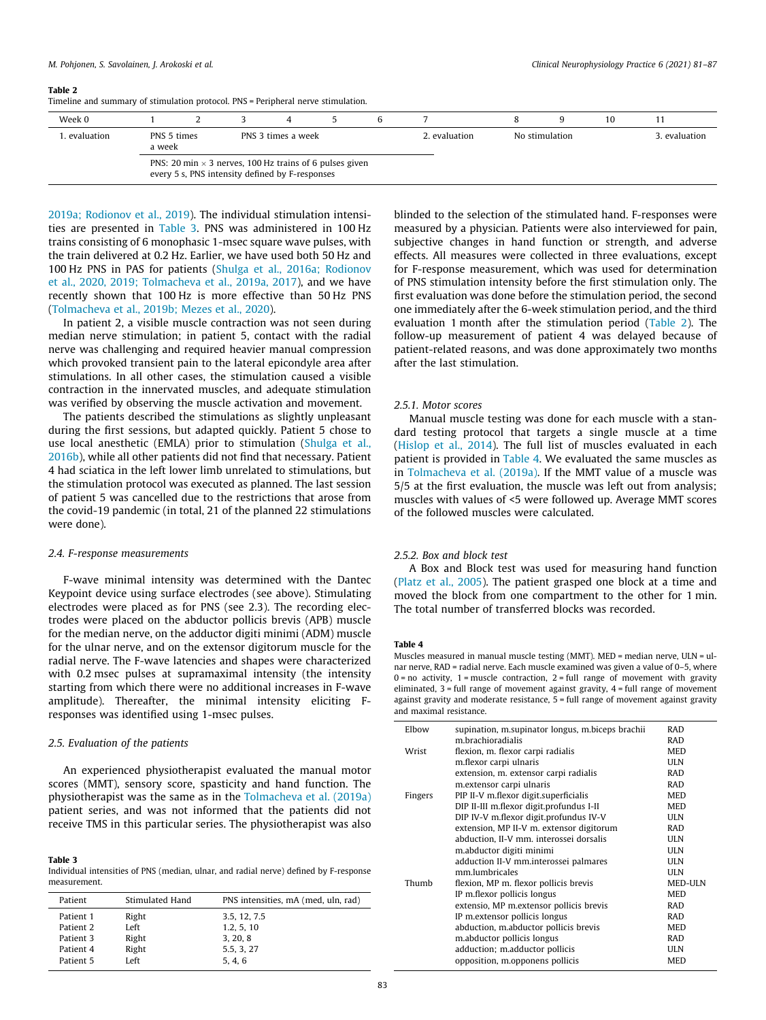#### <span id="page-2-0"></span>Table 2

Timeline and summary of stimulation protocol. PNS = Peripheral nerve stimulation.

| Week 0     |                                                                                                                   |  |  |  |  |  |               |                | 10 |               |
|------------|-------------------------------------------------------------------------------------------------------------------|--|--|--|--|--|---------------|----------------|----|---------------|
| evaluation | PNS 5 times<br>PNS 3 times a week<br>a week                                                                       |  |  |  |  |  | 2. evaluation | No stimulation |    | 3. evaluation |
|            | PNS: 20 min $\times$ 3 nerves, 100 Hz trains of 6 pulses given<br>every 5 s, PNS intensity defined by F-responses |  |  |  |  |  |               |                |    |               |

[2019a; Rodionov et al., 2019\)](#page-6-0). The individual stimulation intensities are presented in Table 3. PNS was administered in 100 Hz trains consisting of 6 monophasic 1-msec square wave pulses, with the train delivered at 0.2 Hz. Earlier, we have used both 50 Hz and 100 Hz PNS in PAS for patients [\(Shulga et al., 2016a; Rodionov](#page-6-0) [et al., 2020, 2019; Tolmacheva et al., 2019a, 2017](#page-6-0)), and we have recently shown that 100 Hz is more effective than 50 Hz PNS ([Tolmacheva et al., 2019b; Mezes et al., 2020\)](#page-6-0).

In patient 2, a visible muscle contraction was not seen during median nerve stimulation; in patient 5, contact with the radial nerve was challenging and required heavier manual compression which provoked transient pain to the lateral epicondyle area after stimulations. In all other cases, the stimulation caused a visible contraction in the innervated muscles, and adequate stimulation was verified by observing the muscle activation and movement.

The patients described the stimulations as slightly unpleasant during the first sessions, but adapted quickly. Patient 5 chose to use local anesthetic (EMLA) prior to stimulation [\(Shulga et al.,](#page-6-0) [2016b](#page-6-0)), while all other patients did not find that necessary. Patient 4 had sciatica in the left lower limb unrelated to stimulations, but the stimulation protocol was executed as planned. The last session of patient 5 was cancelled due to the restrictions that arose from the covid-19 pandemic (in total, 21 of the planned 22 stimulations were done).

#### 2.4. F-response measurements

F-wave minimal intensity was determined with the Dantec Keypoint device using surface electrodes (see above). Stimulating electrodes were placed as for PNS (see 2.3). The recording electrodes were placed on the abductor pollicis brevis (APB) muscle for the median nerve, on the adductor digiti minimi (ADM) muscle for the ulnar nerve, and on the extensor digitorum muscle for the radial nerve. The F-wave latencies and shapes were characterized with 0.2 msec pulses at supramaximal intensity (the intensity starting from which there were no additional increases in F-wave amplitude). Thereafter, the minimal intensity eliciting Fresponses was identified using 1-msec pulses.

# 2.5. Evaluation of the patients

An experienced physiotherapist evaluated the manual motor scores (MMT), sensory score, spasticity and hand function. The physiotherapist was the same as in the [Tolmacheva et al. \(2019a\)](#page-6-0) patient series, and was not informed that the patients did not receive TMS in this particular series. The physiotherapist was also

#### Table 3

Individual intensities of PNS (median, ulnar, and radial nerve) defined by F-response measurement.

| Patient   | Stimulated Hand | PNS intensities, mA (med, uln, rad) |
|-----------|-----------------|-------------------------------------|
| Patient 1 | Right           | 3.5, 12, 7.5                        |
| Patient 2 | Left            | 1.2, 5, 10                          |
| Patient 3 | Right           | 3, 20, 8                            |
| Patient 4 | Right           | 5.5, 3, 27                          |
| Patient 5 | Left            | 5.4.6                               |

blinded to the selection of the stimulated hand. F-responses were measured by a physician. Patients were also interviewed for pain, subjective changes in hand function or strength, and adverse effects. All measures were collected in three evaluations, except for F-response measurement, which was used for determination of PNS stimulation intensity before the first stimulation only. The first evaluation was done before the stimulation period, the second one immediately after the 6-week stimulation period, and the third evaluation 1 month after the stimulation period (Table 2). The follow-up measurement of patient 4 was delayed because of patient-related reasons, and was done approximately two months after the last stimulation.

# 2.5.1. Motor scores

Manual muscle testing was done for each muscle with a standard testing protocol that targets a single muscle at a time ([Hislop et al., 2014\)](#page-5-0). The full list of muscles evaluated in each patient is provided in Table 4. We evaluated the same muscles as in [Tolmacheva et al. \(2019a\).](#page-6-0) If the MMT value of a muscle was 5/5 at the first evaluation, the muscle was left out from analysis; muscles with values of <5 were followed up. Average MMT scores of the followed muscles were calculated.

# 2.5.2. Box and block test

A Box and Block test was used for measuring hand function ([Platz et al., 2005](#page-6-0)). The patient grasped one block at a time and moved the block from one compartment to the other for 1 min. The total number of transferred blocks was recorded.

#### Table 4

Muscles measured in manual muscle testing (MMT). MED = median nerve, ULN = ulnar nerve, RAD = radial nerve. Each muscle examined was given a value of 0–5, where  $0 =$  no activity,  $1 =$  muscle contraction,  $2 =$  full range of movement with gravity eliminated, 3 = full range of movement against gravity, 4 = full range of movement against gravity and moderate resistance, 5 = full range of movement against gravity and maximal resistance.

| Elbow   | supination, m.supinator longus, m.biceps brachii | <b>RAD</b>     |
|---------|--------------------------------------------------|----------------|
|         | m.brachioradialis                                | <b>RAD</b>     |
| Wrist   | flexion, m. flexor carpi radialis                | <b>MED</b>     |
|         | m.flexor carpi ulnaris                           | <b>ULN</b>     |
|         | extension, m. extensor carpi radialis            | <b>RAD</b>     |
|         | m.extensor carpi ulnaris                         | <b>RAD</b>     |
| Fingers | PIP II-V m.flexor digit.superficialis            | <b>MED</b>     |
|         | DIP II-III m.flexor digit.profundus I-II         | <b>MED</b>     |
|         | DIP IV-V m.flexor digit.profundus IV-V           | <b>ULN</b>     |
|         | extension, MP II-V m. extensor digitorum         | <b>RAD</b>     |
|         | abduction, II-V mm, interossei dorsalis          | <b>ULN</b>     |
|         | m.abductor digiti minimi                         | <b>ULN</b>     |
|         | adduction II-V mm.interossei palmares            | <b>ULN</b>     |
|         | mm.lumbricales                                   | <b>ULN</b>     |
| Thumb   | flexion, MP m. flexor pollicis brevis            | <b>MED-ULN</b> |
|         | IP m.flexor pollicis longus                      | <b>MED</b>     |
|         | extensio, MP m.extensor pollicis brevis          | <b>RAD</b>     |
|         | IP m.extensor pollicis longus                    | <b>RAD</b>     |
|         | abduction, m.abductor pollicis brevis            | <b>MED</b>     |
|         | m.abductor pollicis longus                       | <b>RAD</b>     |
|         | adduction; m.adductor pollicis                   | <b>ULN</b>     |
|         | opposition, m.opponens pollicis                  | <b>MED</b>     |
|         |                                                  |                |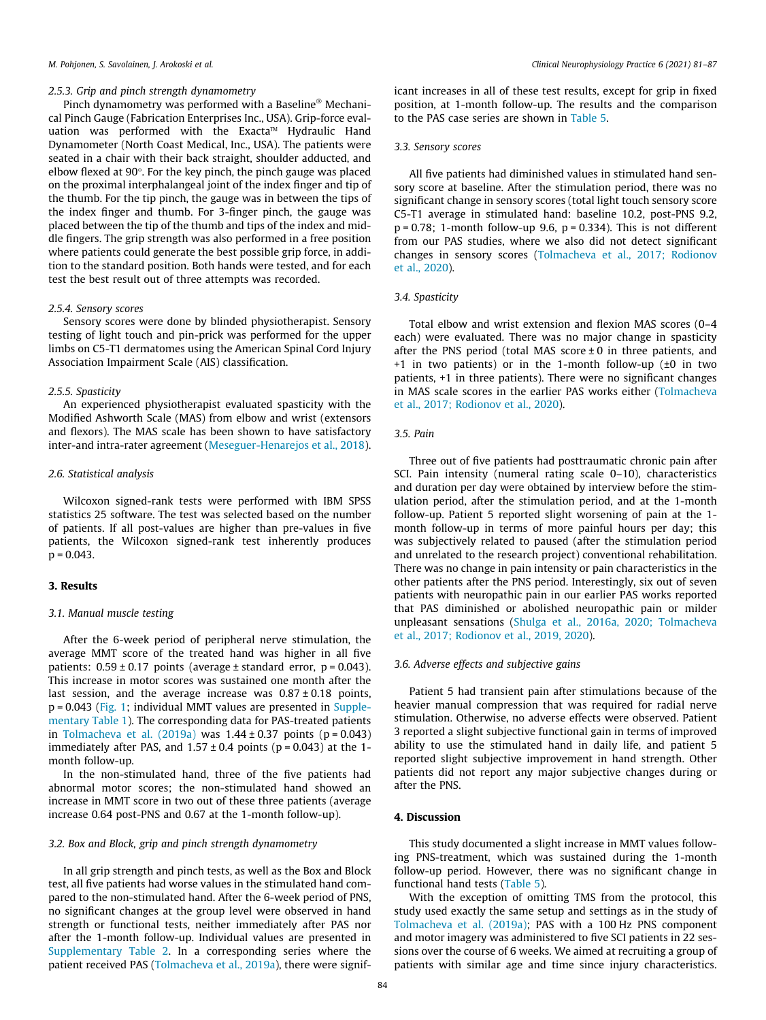#### 2.5.3. Grip and pinch strength dynamometry

Pinch dynamometry was performed with a Baseline<sup>®</sup> Mechanical Pinch Gauge (Fabrication Enterprises Inc., USA). Grip-force evaluation was performed with the Exacta<sup> $M$ </sup> Hydraulic Hand Dynamometer (North Coast Medical, Inc., USA). The patients were seated in a chair with their back straight, shoulder adducted, and elbow flexed at  $90^\circ$ . For the key pinch, the pinch gauge was placed on the proximal interphalangeal joint of the index finger and tip of the thumb. For the tip pinch, the gauge was in between the tips of the index finger and thumb. For 3-finger pinch, the gauge was placed between the tip of the thumb and tips of the index and middle fingers. The grip strength was also performed in a free position where patients could generate the best possible grip force, in addition to the standard position. Both hands were tested, and for each test the best result out of three attempts was recorded.

#### 2.5.4. Sensory scores

Sensory scores were done by blinded physiotherapist. Sensory testing of light touch and pin-prick was performed for the upper limbs on C5-T1 dermatomes using the American Spinal Cord Injury Association Impairment Scale (AIS) classification.

#### 2.5.5. Spasticity

An experienced physiotherapist evaluated spasticity with the Modified Ashworth Scale (MAS) from elbow and wrist (extensors and flexors). The MAS scale has been shown to have satisfactory inter-and intra-rater agreement [\(Meseguer-Henarejos et al., 2018\)](#page-6-0).

#### 2.6. Statistical analysis

Wilcoxon signed-rank tests were performed with IBM SPSS statistics 25 software. The test was selected based on the number of patients. If all post-values are higher than pre-values in five patients, the Wilcoxon signed-rank test inherently produces  $p = 0.043$ 

### 3. Results

# 3.1. Manual muscle testing

After the 6-week period of peripheral nerve stimulation, the average MMT score of the treated hand was higher in all five patients:  $0.59 \pm 0.17$  points (average  $\pm$  standard error,  $p = 0.043$ ). This increase in motor scores was sustained one month after the last session, and the average increase was  $0.87 \pm 0.18$  points, p = 0.043 ([Fig. 1](#page-4-0); individual MMT values are presented in Supplementary Table 1). The corresponding data for PAS-treated patients in Tolmacheva et al.  $(2019a)$  was  $1.44 \pm 0.37$  points  $(p = 0.043)$ immediately after PAS, and  $1.57 \pm 0.4$  points ( $p = 0.043$ ) at the 1month follow-up.

In the non-stimulated hand, three of the five patients had abnormal motor scores; the non-stimulated hand showed an increase in MMT score in two out of these three patients (average increase 0.64 post-PNS and 0.67 at the 1-month follow-up).

#### 3.2. Box and Block, grip and pinch strength dynamometry

In all grip strength and pinch tests, as well as the Box and Block test, all five patients had worse values in the stimulated hand compared to the non-stimulated hand. After the 6-week period of PNS, no significant changes at the group level were observed in hand strength or functional tests, neither immediately after PAS nor after the 1-month follow-up. Individual values are presented in Supplementary Table 2. In a corresponding series where the patient received PAS ([Tolmacheva et al., 2019a](#page-6-0)), there were significant increases in all of these test results, except for grip in fixed position, at 1-month follow-up. The results and the comparison to the PAS case series are shown in [Table 5.](#page-4-0)

#### 3.3. Sensory scores

All five patients had diminished values in stimulated hand sensory score at baseline. After the stimulation period, there was no significant change in sensory scores (total light touch sensory score C5-T1 average in stimulated hand: baseline 10.2, post-PNS 9.2,  $p = 0.78$ : 1-month follow-up 9.6,  $p = 0.334$ ). This is not different from our PAS studies, where we also did not detect significant changes in sensory scores [\(Tolmacheva et al., 2017; Rodionov](#page-6-0) [et al., 2020\)](#page-6-0).

#### 3.4. Spasticity

Total elbow and wrist extension and flexion MAS scores (0–4 each) were evaluated. There was no major change in spasticity after the PNS period (total MAS score  $\pm 0$  in three patients, and +1 in two patients) or in the 1-month follow-up (±0 in two patients, +1 in three patients). There were no significant changes in MAS scale scores in the earlier PAS works either [\(Tolmacheva](#page-6-0) [et al., 2017; Rodionov et al., 2020](#page-6-0)).

# 3.5. Pain

Three out of five patients had posttraumatic chronic pain after SCI. Pain intensity (numeral rating scale 0–10), characteristics and duration per day were obtained by interview before the stimulation period, after the stimulation period, and at the 1-month follow-up. Patient 5 reported slight worsening of pain at the 1 month follow-up in terms of more painful hours per day; this was subjectively related to paused (after the stimulation period and unrelated to the research project) conventional rehabilitation. There was no change in pain intensity or pain characteristics in the other patients after the PNS period. Interestingly, six out of seven patients with neuropathic pain in our earlier PAS works reported that PAS diminished or abolished neuropathic pain or milder unpleasant sensations ([Shulga et al., 2016a, 2020; Tolmacheva](#page-6-0) [et al., 2017; Rodionov et al., 2019, 2020\)](#page-6-0).

# 3.6. Adverse effects and subjective gains

Patient 5 had transient pain after stimulations because of the heavier manual compression that was required for radial nerve stimulation. Otherwise, no adverse effects were observed. Patient 3 reported a slight subjective functional gain in terms of improved ability to use the stimulated hand in daily life, and patient 5 reported slight subjective improvement in hand strength. Other patients did not report any major subjective changes during or after the PNS.

# 4. Discussion

This study documented a slight increase in MMT values following PNS-treatment, which was sustained during the 1-month follow-up period. However, there was no significant change in functional hand tests ([Table 5](#page-4-0)).

With the exception of omitting TMS from the protocol, this study used exactly the same setup and settings as in the study of [Tolmacheva et al. \(2019a\);](#page-6-0) PAS with a 100 Hz PNS component and motor imagery was administered to five SCI patients in 22 sessions over the course of 6 weeks. We aimed at recruiting a group of patients with similar age and time since injury characteristics.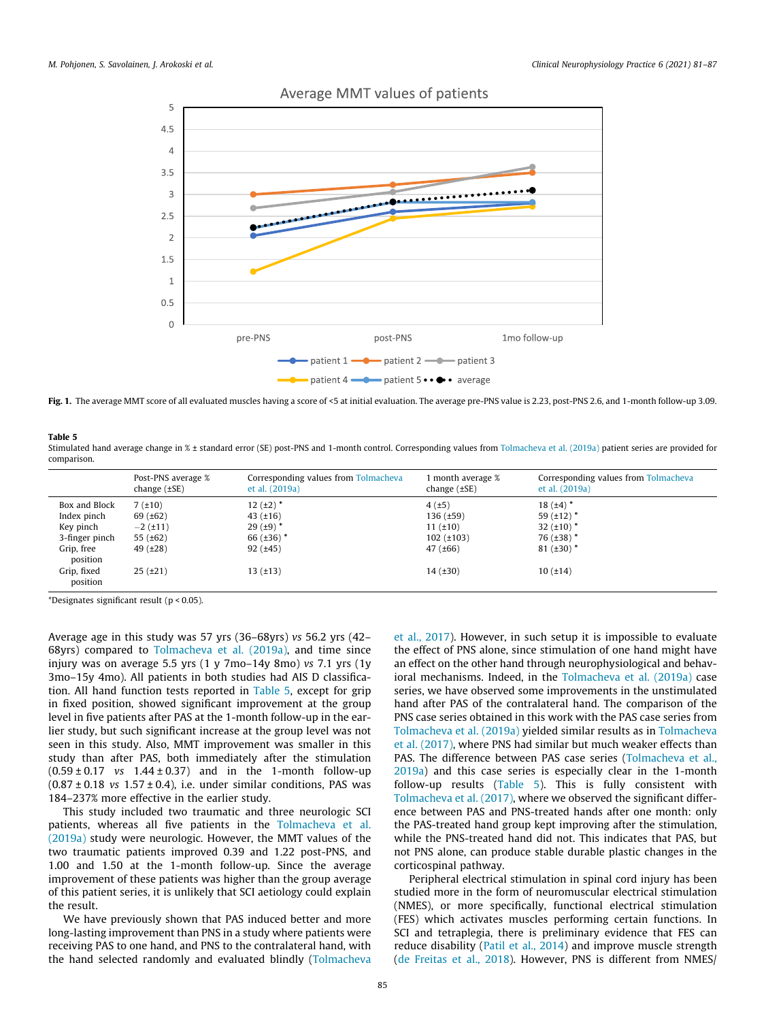

<span id="page-4-0"></span>

Fig. 1. The average MMT score of all evaluated muscles having a score of <5 at initial evaluation. The average pre-PNS value is 2.23, post-PNS 2.6, and 1-month follow-up 3.09.

Table 5

Stimulated hand average change in % ± standard error (SE) post-PNS and 1-month control. Corresponding values from [Tolmacheva et al. \(2019a\)](#page-6-0) patient series are provided for comparison.

|                         | Post-PNS average %<br>change $(\pm SE)$ | Corresponding values from Tolmacheva<br>et al. (2019a) | 1 month average %<br>change $(\pm SE)$ | Corresponding values from Tolmacheva<br>et al. (2019a) |
|-------------------------|-----------------------------------------|--------------------------------------------------------|----------------------------------------|--------------------------------------------------------|
| Box and Block           | $7(+10)$                                | $12(.12)$ *                                            | 4(f±5)                                 | $18(+4)$ *                                             |
| Index pinch             | 69 $(±62)$                              | $43(+16)$                                              | $136 (\pm 59)$                         | 59 $(\pm 12)^*$                                        |
| Key pinch               | $-2$ ( $\pm$ 11)                        | $29(.19)$ *                                            | $11(+10)$                              | 32 $(\pm 10)^*$                                        |
| 3-finger pinch          | 55 $(\pm 62)$                           | 66 $(\pm 36)^*$                                        | $102 (\pm 103)$                        | $76 \ (\pm 38)^*$                                      |
| Grip, free<br>position  | 49(±28)                                 | 92(.±45)                                               | 47 $(\pm 66)$                          | $81 (\pm 30)^*$                                        |
| Grip, fixed<br>position | $25(f+21)$                              | $13(+13)$                                              | 14(.±30)                               | 10(.14)                                                |

\*Designates significant result (p < 0.05).

Average age in this study was 57 yrs (36–68yrs) vs 56.2 yrs (42– 68yrs) compared to [Tolmacheva et al. \(2019a\)](#page-6-0), and time since injury was on average 5.5 yrs (1 y 7mo–14y 8mo) vs 7.1 yrs (1y 3mo–15y 4mo). All patients in both studies had AIS D classification. All hand function tests reported in Table 5, except for grip in fixed position, showed significant improvement at the group level in five patients after PAS at the 1-month follow-up in the earlier study, but such significant increase at the group level was not seen in this study. Also, MMT improvement was smaller in this study than after PAS, both immediately after the stimulation  $(0.59 \pm 0.17 \text{ vs } 1.44 \pm 0.37)$  and in the 1-month follow-up  $(0.87 \pm 0.18 \text{ vs } 1.57 \pm 0.4)$ , i.e. under similar conditions, PAS was 184–237% more effective in the earlier study.

This study included two traumatic and three neurologic SCI patients, whereas all five patients in the [Tolmacheva et al.](#page-6-0) [\(2019a\)](#page-6-0) study were neurologic. However, the MMT values of the two traumatic patients improved 0.39 and 1.22 post-PNS, and 1.00 and 1.50 at the 1-month follow-up. Since the average improvement of these patients was higher than the group average of this patient series, it is unlikely that SCI aetiology could explain the result.

We have previously shown that PAS induced better and more long-lasting improvement than PNS in a study where patients were receiving PAS to one hand, and PNS to the contralateral hand, with the hand selected randomly and evaluated blindly [\(Tolmacheva](#page-6-0)

[et al., 2017\)](#page-6-0). However, in such setup it is impossible to evaluate the effect of PNS alone, since stimulation of one hand might have an effect on the other hand through neurophysiological and behavioral mechanisms. Indeed, in the [Tolmacheva et al. \(2019a\)](#page-6-0) case series, we have observed some improvements in the unstimulated hand after PAS of the contralateral hand. The comparison of the PNS case series obtained in this work with the PAS case series from [Tolmacheva et al. \(2019a\)](#page-6-0) yielded similar results as in [Tolmacheva](#page-6-0) [et al. \(2017\)](#page-6-0), where PNS had similar but much weaker effects than PAS. The difference between PAS case series [\(Tolmacheva et al.,](#page-6-0) [2019a\)](#page-6-0) and this case series is especially clear in the 1-month follow-up results (Table 5). This is fully consistent with [Tolmacheva et al. \(2017\)](#page-6-0), where we observed the significant difference between PAS and PNS-treated hands after one month: only the PAS-treated hand group kept improving after the stimulation, while the PNS-treated hand did not. This indicates that PAS, but not PNS alone, can produce stable durable plastic changes in the corticospinal pathway.

Peripheral electrical stimulation in spinal cord injury has been studied more in the form of neuromuscular electrical stimulation (NMES), or more specifically, functional electrical stimulation (FES) which activates muscles performing certain functions. In SCI and tetraplegia, there is preliminary evidence that FES can reduce disability [\(Patil et al., 2014\)](#page-6-0) and improve muscle strength ([de Freitas et al., 2018](#page-5-0)). However, PNS is different from NMES/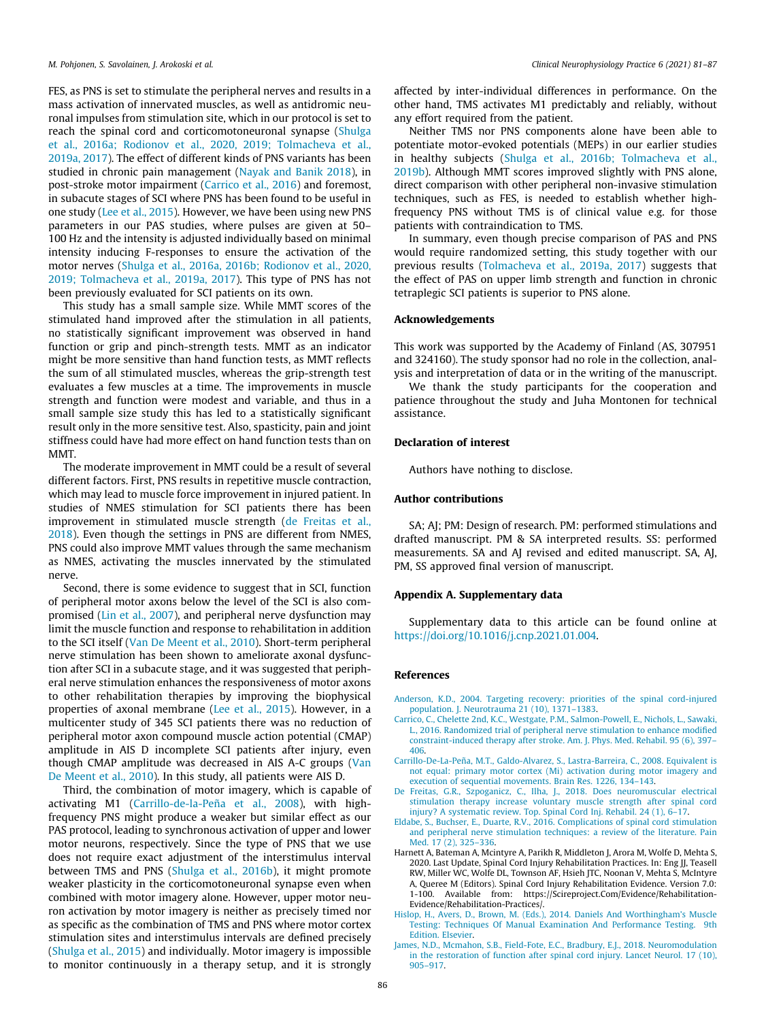<span id="page-5-0"></span>FES, as PNS is set to stimulate the peripheral nerves and results in a mass activation of innervated muscles, as well as antidromic neuronal impulses from stimulation site, which in our protocol is set to reach the spinal cord and corticomotoneuronal synapse [\(Shulga](#page-6-0) [et al., 2016a; Rodionov et al., 2020, 2019; Tolmacheva et al.,](#page-6-0) [2019a, 2017\)](#page-6-0). The effect of different kinds of PNS variants has been studied in chronic pain management [\(Nayak and Banik 2018](#page-6-0)), in post-stroke motor impairment (Carrico et al., 2016) and foremost, in subacute stages of SCI where PNS has been found to be useful in one study [\(Lee et al., 2015\)](#page-6-0). However, we have been using new PNS parameters in our PAS studies, where pulses are given at 50– 100 Hz and the intensity is adjusted individually based on minimal intensity inducing F-responses to ensure the activation of the motor nerves ([Shulga et al., 2016a, 2016b; Rodionov et al., 2020,](#page-6-0) [2019; Tolmacheva et al., 2019a, 2017\)](#page-6-0). This type of PNS has not been previously evaluated for SCI patients on its own.

This study has a small sample size. While MMT scores of the stimulated hand improved after the stimulation in all patients, no statistically significant improvement was observed in hand function or grip and pinch-strength tests. MMT as an indicator might be more sensitive than hand function tests, as MMT reflects the sum of all stimulated muscles, whereas the grip-strength test evaluates a few muscles at a time. The improvements in muscle strength and function were modest and variable, and thus in a small sample size study this has led to a statistically significant result only in the more sensitive test. Also, spasticity, pain and joint stiffness could have had more effect on hand function tests than on MMT.

The moderate improvement in MMT could be a result of several different factors. First, PNS results in repetitive muscle contraction, which may lead to muscle force improvement in injured patient. In studies of NMES stimulation for SCI patients there has been improvement in stimulated muscle strength (de Freitas et al., 2018). Even though the settings in PNS are different from NMES, PNS could also improve MMT values through the same mechanism as NMES, activating the muscles innervated by the stimulated nerve.

Second, there is some evidence to suggest that in SCI, function of peripheral motor axons below the level of the SCI is also compromised ([Lin et al., 2007](#page-6-0)), and peripheral nerve dysfunction may limit the muscle function and response to rehabilitation in addition to the SCI itself ([Van De Meent et al., 2010](#page-6-0)). Short-term peripheral nerve stimulation has been shown to ameliorate axonal dysfunction after SCI in a subacute stage, and it was suggested that peripheral nerve stimulation enhances the responsiveness of motor axons to other rehabilitation therapies by improving the biophysical properties of axonal membrane [\(Lee et al., 2015\)](#page-6-0). However, in a multicenter study of 345 SCI patients there was no reduction of peripheral motor axon compound muscle action potential (CMAP) amplitude in AIS D incomplete SCI patients after injury, even though CMAP amplitude was decreased in AIS A-C groups ([Van](#page-6-0) [De Meent et al., 2010](#page-6-0)). In this study, all patients were AIS D.

Third, the combination of motor imagery, which is capable of activating M1 (Carrillo-de-la-Peña et al., 2008), with highfrequency PNS might produce a weaker but similar effect as our PAS protocol, leading to synchronous activation of upper and lower motor neurons, respectively. Since the type of PNS that we use does not require exact adjustment of the interstimulus interval between TMS and PNS ([Shulga et al., 2016b](#page-6-0)), it might promote weaker plasticity in the corticomotoneuronal synapse even when combined with motor imagery alone. However, upper motor neuron activation by motor imagery is neither as precisely timed nor as specific as the combination of TMS and PNS where motor cortex stimulation sites and interstimulus intervals are defined precisely ([Shulga et al., 2015\)](#page-6-0) and individually. Motor imagery is impossible to monitor continuously in a therapy setup, and it is strongly

affected by inter-individual differences in performance. On the other hand, TMS activates M1 predictably and reliably, without any effort required from the patient.

Neither TMS nor PNS components alone have been able to potentiate motor-evoked potentials (MEPs) in our earlier studies in healthy subjects [\(Shulga et al., 2016b; Tolmacheva et al.,](#page-6-0) [2019b](#page-6-0)). Although MMT scores improved slightly with PNS alone, direct comparison with other peripheral non-invasive stimulation techniques, such as FES, is needed to establish whether highfrequency PNS without TMS is of clinical value e.g. for those patients with contraindication to TMS.

In summary, even though precise comparison of PAS and PNS would require randomized setting, this study together with our previous results ([Tolmacheva et al., 2019a, 2017](#page-6-0)) suggests that the effect of PAS on upper limb strength and function in chronic tetraplegic SCI patients is superior to PNS alone.

### Acknowledgements

This work was supported by the Academy of Finland (AS, 307951 and 324160). The study sponsor had no role in the collection, analysis and interpretation of data or in the writing of the manuscript.

We thank the study participants for the cooperation and patience throughout the study and Juha Montonen for technical assistance.

### Declaration of interest

Authors have nothing to disclose.

#### Author contributions

SA; AJ; PM: Design of research. PM: performed stimulations and drafted manuscript. PM & SA interpreted results. SS: performed measurements. SA and AJ revised and edited manuscript. SA, AJ, PM, SS approved final version of manuscript.

## Appendix A. Supplementary data

Supplementary data to this article can be found online at [https://doi.org/10.1016/j.cnp.2021.01.004.](https://doi.org/10.1016/j.cnp.2021.01.004)

#### References

- [Anderson, K.D., 2004. Targeting recovery: priorities of the spinal cord-injured](http://refhub.elsevier.com/S2467-981X(21)00007-X/h0005) [population. J. Neurotrauma 21 \(10\), 1371–1383.](http://refhub.elsevier.com/S2467-981X(21)00007-X/h0005)
- [Carrico, C., Chelette 2nd, K.C., Westgate, P.M., Salmon-Powell, E., Nichols, L., Sawaki,](http://refhub.elsevier.com/S2467-981X(21)00007-X/h0010) [L., 2016. Randomized trial of peripheral nerve stimulation to enhance modified](http://refhub.elsevier.com/S2467-981X(21)00007-X/h0010) [constraint-induced therapy after stroke. Am. J. Phys. Med. Rehabil. 95 \(6\), 397–](http://refhub.elsevier.com/S2467-981X(21)00007-X/h0010) [406.](http://refhub.elsevier.com/S2467-981X(21)00007-X/h0010)
- [Carrillo-De-La-Peña, M.T., Galdo-Alvarez, S., Lastra-Barreira, C., 2008. Equivalent is](http://refhub.elsevier.com/S2467-981X(21)00007-X/h0015) [not equal: primary motor cortex \(Mi\) activation during motor imagery and](http://refhub.elsevier.com/S2467-981X(21)00007-X/h0015) [execution of sequential movements. Brain Res. 1226, 134–143.](http://refhub.elsevier.com/S2467-981X(21)00007-X/h0015)
- [De Freitas, G.R., Szpoganicz, C., Ilha, J., 2018. Does neuromuscular electrical](http://refhub.elsevier.com/S2467-981X(21)00007-X/h0020) [stimulation therapy increase voluntary muscle strength after spinal cord](http://refhub.elsevier.com/S2467-981X(21)00007-X/h0020) [injury? A systematic review. Top. Spinal Cord Inj. Rehabil. 24 \(1\), 6–17.](http://refhub.elsevier.com/S2467-981X(21)00007-X/h0020)
- [Eldabe, S., Buchser, E., Duarte, R.V., 2016. Complications of spinal cord stimulation](http://refhub.elsevier.com/S2467-981X(21)00007-X/h0025) [and peripheral nerve stimulation techniques: a review of the literature. Pain](http://refhub.elsevier.com/S2467-981X(21)00007-X/h0025) [Med. 17 \(2\), 325–336](http://refhub.elsevier.com/S2467-981X(21)00007-X/h0025).
- Harnett A, Bateman A, Mcintyre A, Parikh R, Middleton J, Arora M, Wolfe D, Mehta S, 2020. Last Update, Spinal Cord Injury Rehabilitation Practices. In: Eng JJ, Teasell RW, Miller WC, Wolfe DL, Townson AF, Hsieh JTC, Noonan V, Mehta S, McIntyre A, Queree M (Editors). Spinal Cord Injury Rehabilitation Evidence. Version 7.0: 1-100. Available from: https://Scireproject.Com/Evidence/Rehabilitation-Evidence/Rehabilitation-Practices/.
- [Hislop, H., Avers, D., Brown, M. \(Eds.\), 2014. Daniels And Worthingham's Muscle](http://refhub.elsevier.com/S2467-981X(21)00007-X/h0040) Testing: Techniques Of Manual Examination And Performance Testing. [Edition. Elsevier](http://refhub.elsevier.com/S2467-981X(21)00007-X/h0040).
- [James, N.D., Mcmahon, S.B., Field-Fote, E.C., Bradbury, E.J., 2018. Neuromodulation](http://refhub.elsevier.com/S2467-981X(21)00007-X/h0045) [in the restoration of function after spinal cord injury. Lancet Neurol. 17 \(10\),](http://refhub.elsevier.com/S2467-981X(21)00007-X/h0045) [905–917](http://refhub.elsevier.com/S2467-981X(21)00007-X/h0045).